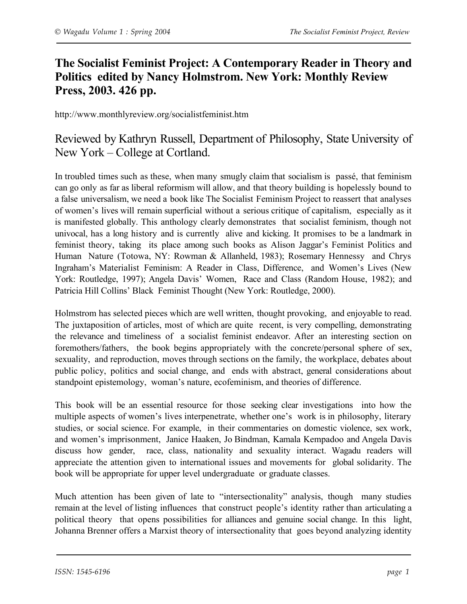## **The Socialist Feminist Project: A Contemporary Reader in Theory and Politics edited by Nancy Holmstrom. New York: Monthly Review Press, 2003. 426 pp.**

http://www.monthlyreview.org/socialistfeminist.htm

## Reviewed by Kathryn Russell, Department of Philosophy, State University of New York – College at Cortland.

In troubled times such as these, when many smugly claim that socialism is passé, that feminism can go only as far as liberal reformism will allow, and that theory building is hopelessly bound to a false universalism, we need a book like The Socialist Feminism Project to reassert that analyses of women's lives will remain superficial without a serious critique of capitalism, especially as it is manifested globally. This anthology clearly demonstrates that socialist feminism, though not univocal, has a long history and is currently alive and kicking. It promises to be a landmark in feminist theory, taking its place among such books as Alison Jaggar's Feminist Politics and Human Nature (Totowa, NY: Rowman & Allanheld, 1983); Rosemary Hennessy and Chrys Ingraham's Materialist Feminism: A Reader in Class, Difference, and Women's Lives (New York: Routledge, 1997); Angela Davis' Women, Race and Class (Random House, 1982); and Patricia Hill Collins' Black Feminist Thought (New York: Routledge, 2000).

Holmstrom has selected pieces which are well written, thought provoking, and enjoyable to read. The juxtaposition of articles, most of which are quite recent, is very compelling, demonstrating the relevance and timeliness of a socialist feminist endeavor. After an interesting section on foremothers/fathers, the book begins appropriately with the concrete/personal sphere of sex, sexuality, and reproduction, moves through sections on the family, the workplace, debates about public policy, politics and social change, and ends with abstract, general considerations about standpoint epistemology, woman's nature, ecofeminism, and theories of difference.

This book will be an essential resource for those seeking clear investigations into how the multiple aspects of women's lives interpenetrate, whether one's work is in philosophy, literary studies, or social science. For example, in their commentaries on domestic violence, sex work, and women's imprisonment, Janice Haaken, Jo Bindman, Kamala Kempadoo and Angela Davis discuss how gender, race, class, nationality and sexuality interact. Wagadu readers will appreciate the attention given to international issues and movements for global solidarity. The book will be appropriate for upper level undergraduate or graduate classes.

Much attention has been given of late to "intersectionality" analysis, though many studies remain at the level of listing influences that construct people's identity rather than articulating a political theory that opens possibilities for alliances and genuine social change. In this light, Johanna Brenner offers a Marxist theory of intersectionality that goes beyond analyzing identity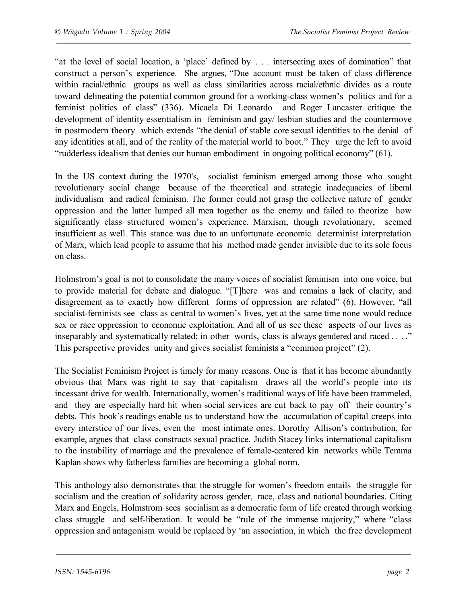"at the level of social location, a 'place' defined by . . . intersecting axes of domination" that construct a person's experience. She argues, "Due account must be taken of class difference within racial/ethnic groups as well as class similarities across racial/ethnic divides as a route toward delineating the potential common ground for a working-class women's politics and for a feminist politics of class" (336). Micaela Di Leonardo and Roger Lancaster critique the development of identity essentialism in feminism and gay/ lesbian studies and the countermove in postmodern theory which extends "the denial of stable core sexual identities to the denial of any identities at all, and of the reality of the material world to boot." They urge the left to avoid "rudderless idealism that denies our human embodiment in ongoing political economy" (61).

In the US context during the 1970's, socialist feminism emerged among those who sought revolutionary social change because of the theoretical and strategic inadequacies of liberal individualism and radical feminism. The former could not grasp the collective nature of gender oppression and the latter lumped all men together as the enemy and failed to theorize how significantly class structured women's experience. Marxism, though revolutionary, seemed insufficient as well. This stance was due to an unfortunate economic determinist interpretation of Marx, which lead people to assume that his method made gender invisible due to its sole focus on class.

Holmstrom's goal is not to consolidate the many voices of socialist feminism into one voice, but to provide material for debate and dialogue. "[T]here was and remains a lack of clarity, and disagreement as to exactly how different forms of oppression are related" (6). However, "all socialist-feminists see class as central to women's lives, yet at the same time none would reduce sex or race oppression to economic exploitation. And all of us see these aspects of our lives as inseparably and systematically related; in other words, class is always gendered and raced . . . ." This perspective provides unity and gives socialist feminists a "common project" (2).

The Socialist Feminism Project is timely for many reasons. One is that it has become abundantly obvious that Marx was right to say that capitalism draws all the world's people into its incessant drive for wealth. Internationally, women's traditional ways of life have been trammeled, and they are especially hard hit when social services are cut back to pay off their country's debts. This book's readings enable us to understand how the accumulation of capital creeps into every interstice of our lives, even the most intimate ones. Dorothy Allison's contribution, for example, argues that class constructs sexual practice. Judith Stacey links international capitalism to the instability of marriage and the prevalence of female-centered kin networks while Temma Kaplan shows why fatherless families are becoming a global norm.

This anthology also demonstrates that the struggle for women's freedom entails the struggle for socialism and the creation of solidarity across gender, race, class and national boundaries. Citing Marx and Engels, Holmstrom sees socialism as a democratic form of life created through working class struggle and self-liberation. It would be "rule of the immense majority," where "class oppression and antagonism would be replaced by 'an association, in which the free development